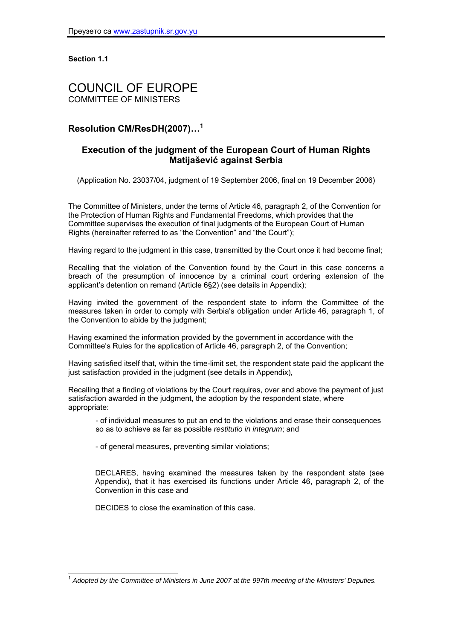**Section 1.1**

# COUNCIL OF EUROPE COMMITTEE OF MINISTERS

# **Resolution CM/ResDH(2007)…<sup>1</sup>**

# **Execution of the judgment of the European Court of Human Rights Matijašević against Serbia**

(Application No. 23037/04, judgment of 19 September 2006, final on 19 December 2006)

The Committee of Ministers, under the terms of Article 46, paragraph 2, of the Convention for the Protection of Human Rights and Fundamental Freedoms, which provides that the Committee supervises the execution of final judgments of the European Court of Human Rights (hereinafter referred to as "the Convention" and "the Court");

Having regard to the judgment in this case, transmitted by the Court once it had become final;

Recalling that the violation of the Convention found by the Court in this case concerns a breach of the presumption of innocence by a criminal court ordering extension of the applicant's detention on remand (Article 6§2) (see details in Appendix);

Having invited the government of the respondent state to inform the Committee of the measures taken in order to comply with Serbia's obligation under Article 46, paragraph 1, of the Convention to abide by the judgment;

Having examined the information provided by the government in accordance with the Committee's Rules for the application of Article 46, paragraph 2, of the Convention;

Having satisfied itself that, within the time-limit set, the respondent state paid the applicant the just satisfaction provided in the judgment (see details in Appendix),

Recalling that a finding of violations by the Court requires, over and above the payment of just satisfaction awarded in the judgment, the adoption by the respondent state, where appropriate:

- of individual measures to put an end to the violations and erase their consequences so as to achieve as far as possible *restitutio in integrum*; and

- of general measures, preventing similar violations;

DECLARES, having examined the measures taken by the respondent state (see Appendix), that it has exercised its functions under Article 46, paragraph 2, of the Convention in this case and

DECIDES to close the examination of this case.

l <sup>1</sup> *Adopted by the Committee of Ministers in June 2007 at the 997th meeting of the Ministers' Deputies.*